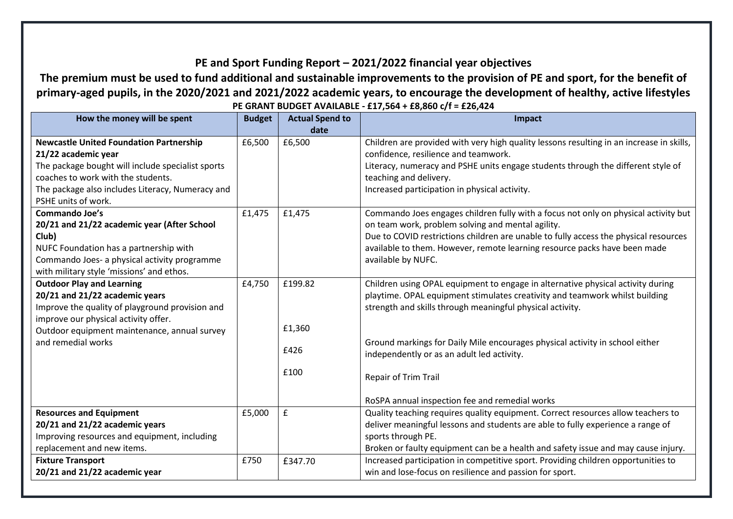## **PE and Sport Funding Report – 2021/2022 financial year objectives**

## **The premium must be used to fund additional and sustainable improvements to the provision of PE and sport, for the benefit of primary-aged pupils, in the 2020/2021 and 2021/2022 academic years, to encourage the development of healthy, active lifestyles PE GRANT BUDGET AVAILABLE - £17,564 + £8,860 c/f = £26,424**

| How the money will be spent                       | <b>Budget</b> | <b>Actual Spend to</b> | Impact                                                                                   |
|---------------------------------------------------|---------------|------------------------|------------------------------------------------------------------------------------------|
|                                                   |               | date                   |                                                                                          |
| <b>Newcastle United Foundation Partnership</b>    | £6,500        | £6,500                 | Children are provided with very high quality lessons resulting in an increase in skills, |
| 21/22 academic year                               |               |                        | confidence, resilience and teamwork.                                                     |
| The package bought will include specialist sports |               |                        | Literacy, numeracy and PSHE units engage students through the different style of         |
| coaches to work with the students.                |               |                        | teaching and delivery.                                                                   |
| The package also includes Literacy, Numeracy and  |               |                        | Increased participation in physical activity.                                            |
| PSHE units of work.                               |               |                        |                                                                                          |
| <b>Commando Joe's</b>                             | £1,475        | £1,475                 | Commando Joes engages children fully with a focus not only on physical activity but      |
| 20/21 and 21/22 academic year (After School       |               |                        | on team work, problem solving and mental agility.                                        |
| Club)                                             |               |                        | Due to COVID restrictions children are unable to fully access the physical resources     |
| NUFC Foundation has a partnership with            |               |                        | available to them. However, remote learning resource packs have been made                |
| Commando Joes- a physical activity programme      |               |                        | available by NUFC.                                                                       |
| with military style 'missions' and ethos.         |               |                        |                                                                                          |
| <b>Outdoor Play and Learning</b>                  | £4,750        | £199.82                | Children using OPAL equipment to engage in alternative physical activity during          |
| 20/21 and 21/22 academic years                    |               |                        | playtime. OPAL equipment stimulates creativity and teamwork whilst building              |
| Improve the quality of playground provision and   |               |                        | strength and skills through meaningful physical activity.                                |
| improve our physical activity offer.              |               |                        |                                                                                          |
| Outdoor equipment maintenance, annual survey      |               | £1,360                 |                                                                                          |
| and remedial works                                |               |                        | Ground markings for Daily Mile encourages physical activity in school either             |
|                                                   |               | £426                   | independently or as an adult led activity.                                               |
|                                                   |               |                        |                                                                                          |
|                                                   |               | £100                   | Repair of Trim Trail                                                                     |
|                                                   |               |                        |                                                                                          |
|                                                   |               |                        | RoSPA annual inspection fee and remedial works                                           |
| <b>Resources and Equipment</b>                    | £5,000        | $\mathbf f$            | Quality teaching requires quality equipment. Correct resources allow teachers to         |
| 20/21 and 21/22 academic years                    |               |                        | deliver meaningful lessons and students are able to fully experience a range of          |
| Improving resources and equipment, including      |               |                        | sports through PE.                                                                       |
| replacement and new items.                        |               |                        | Broken or faulty equipment can be a health and safety issue and may cause injury.        |
| <b>Fixture Transport</b>                          | £750          | £347.70                | Increased participation in competitive sport. Providing children opportunities to        |
| 20/21 and 21/22 academic year                     |               |                        | win and lose-focus on resilience and passion for sport.                                  |
|                                                   |               |                        |                                                                                          |